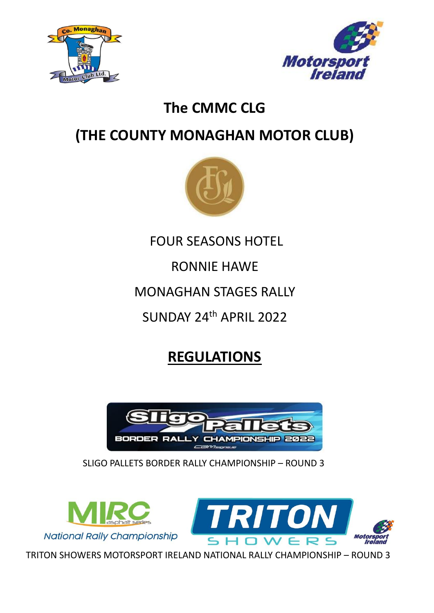



# **The CMMC CLG**

# **(THE COUNTY MONAGHAN MOTOR CLUB)**



FOUR SEASONS HOTEL

RONNIE HAWE

MONAGHAN STAGES RALLY

SUNDAY 24th APRIL 2022

# **REGULATIONS**



SLIGO PALLETS BORDER RALLY CHAMPIONSHIP – ROUND 3





TRITON SHOWERS MOTORSPORT IRELAND NATIONAL RALLY CHAMPIONSHIP – ROUND 3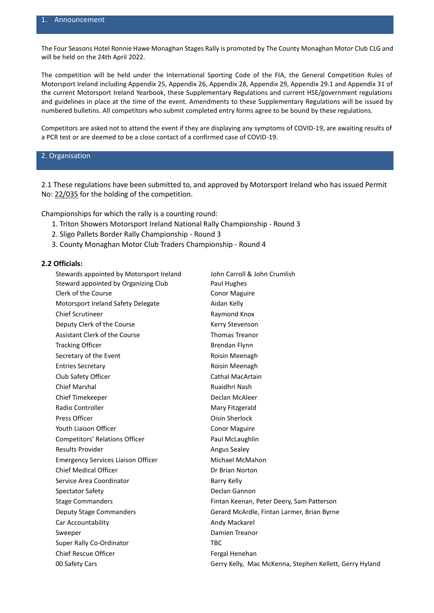The Four Seasons Hotel Ronnie Hawe Monaghan Stages Rally is promoted by The County Monaghan Motor Club CLG and will be held on the 24th April 2022.

The competition will be held under the International Sporting Code of the FIA, the General Competition Rules of Motorsport Ireland including Appendix 25, Appendix 26, Appendix 28, Appendix 29, Appendix 29.1 and Appendix 31 of the current Motorsport Ireland Yearbook, these Supplementary Regulations and current HSE/government regulations and guidelines in place at the time of the event. Amendments to these Supplementary Regulations will be issued by numbered bulletins. All competitors who submit completed entry forms agree to be bound by these regulations.

Competitors are asked not to attend the event if they are displaying any symptoms of COVID-19, are awaiting results of a PCR test or are deemed to be a close contact of a confirmed case of COVID-19.

## 2. Organisation

2.1 These regulations have been submitted to, and approved by Motorsport Ireland who has issued Permit No: 22/035 for the holding of the competition.

Championships for which the rally is a counting round:

- 1. Triton Showers Motorsport Ireland National Rally Championship Round 3
- 2. Sligo Pallets Border Rally Championship Round 3
- 3. County Monaghan Motor Club Traders Championship Round 4

#### **2.2 Officials:**

| Stewards appointed by Motorsport Ireland  | John Carroll & John Crumlish                            |
|-------------------------------------------|---------------------------------------------------------|
| Steward appointed by Organizing Club      | Paul Hughes                                             |
| Clerk of the Course                       | <b>Conor Maguire</b>                                    |
| Motorsport Ireland Safety Delegate        | Aidan Kelly                                             |
| <b>Chief Scrutineer</b>                   | Raymond Knox                                            |
| Deputy Clerk of the Course                | Kerry Stevenson                                         |
| <b>Assistant Clerk of the Course</b>      | <b>Thomas Treanor</b>                                   |
| <b>Tracking Officer</b>                   | Brendan Flynn                                           |
| Secretary of the Event                    | Roisin Meenagh                                          |
| <b>Entries Secretary</b>                  | Roisin Meenagh                                          |
| Club Safety Officer                       | Cathal MacArtain                                        |
| <b>Chief Marshal</b>                      | Ruaidhri Nash                                           |
| Chief Timekeeper                          | Declan McAleer                                          |
| <b>Radio Controller</b>                   | Mary Fitzgerald                                         |
| Press Officer                             | <b>Oisin Sherlock</b>                                   |
| Youth Liaison Officer                     | <b>Conor Maguire</b>                                    |
| Competitors' Relations Officer            | Paul McLaughlin                                         |
| <b>Results Provider</b>                   | <b>Angus Sealey</b>                                     |
| <b>Emergency Services Liaison Officer</b> | Michael McMahon                                         |
| <b>Chief Medical Officer</b>              | Dr Brian Norton                                         |
| Service Area Coordinator                  | <b>Barry Kelly</b>                                      |
| <b>Spectator Safety</b>                   | Declan Gannon                                           |
| <b>Stage Commanders</b>                   | Fintan Keenan, Peter Deery, Sam Patterson               |
| Deputy Stage Commanders                   | Gerard McArdle, Fintan Larmer, Brian Byrne              |
| Car Accountability                        | Andy Mackarel                                           |
| Sweeper                                   | Damien Treanor                                          |
| Super Rally Co-Ordinator                  | <b>TBC</b>                                              |
| <b>Chief Rescue Officer</b>               | Fergal Henehan                                          |
| 00 Safety Cars                            | Gerry Kelly, Mac McKenna, Stephen Kellett, Gerry Hyland |
|                                           |                                                         |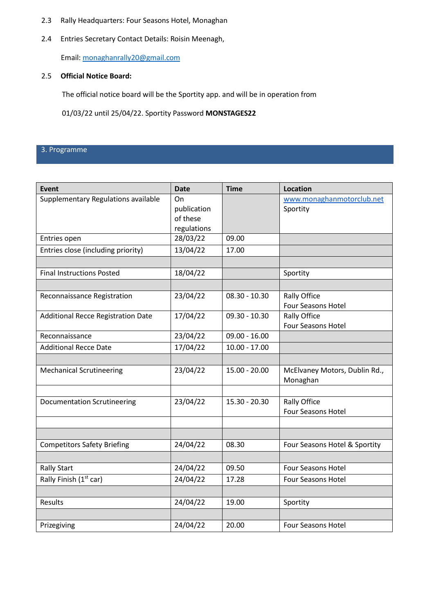- 2.3 Rally Headquarters: Four Seasons Hotel, Monaghan
- 2.4 Entries Secretary Contact Details: Roisin Meenagh,

Email: [monaghanrally20@gmail.com](mailto:monaghanrally20@gmail.com) 

## 2.5 **Official Notice Board:**

The official notice board will be the Sportity app. and will be in operation from

01/03/22 until 25/04/22. Sportity Password **MONSTAGES22**

## 3. Programme

| <b>Event</b>                              | <b>Date</b>                                  | <b>Time</b>     | <b>Location</b>                                  |
|-------------------------------------------|----------------------------------------------|-----------------|--------------------------------------------------|
| Supplementary Regulations available       | On<br>publication<br>of these<br>regulations |                 | www.monaghanmotorclub.net<br>Sportity            |
| Entries open                              | 28/03/22                                     | 09.00           |                                                  |
| Entries close (including priority)        | 13/04/22                                     | 17.00           |                                                  |
|                                           |                                              |                 |                                                  |
| <b>Final Instructions Posted</b>          | 18/04/22                                     |                 | Sportity                                         |
|                                           |                                              |                 |                                                  |
| Reconnaissance Registration               | 23/04/22                                     | $08.30 - 10.30$ | <b>Rally Office</b><br><b>Four Seasons Hotel</b> |
| <b>Additional Recce Registration Date</b> | 17/04/22                                     | $09.30 - 10.30$ | <b>Rally Office</b><br><b>Four Seasons Hotel</b> |
| Reconnaissance                            | 23/04/22                                     | $09.00 - 16.00$ |                                                  |
| <b>Additional Recce Date</b>              | 17/04/22                                     | $10.00 - 17.00$ |                                                  |
|                                           |                                              |                 |                                                  |
| <b>Mechanical Scrutineering</b>           | 23/04/22                                     | 15.00 - 20.00   | McElvaney Motors, Dublin Rd.,<br>Monaghan        |
|                                           |                                              |                 |                                                  |
| <b>Documentation Scrutineering</b>        | 23/04/22                                     | $15.30 - 20.30$ | <b>Rally Office</b><br><b>Four Seasons Hotel</b> |
|                                           |                                              |                 |                                                  |
|                                           |                                              |                 |                                                  |
| <b>Competitors Safety Briefing</b>        | 24/04/22                                     | 08.30           | Four Seasons Hotel & Sportity                    |
|                                           |                                              |                 |                                                  |
| <b>Rally Start</b>                        | 24/04/22                                     | 09.50           | <b>Four Seasons Hotel</b>                        |
| Rally Finish (1st car)                    | 24/04/22                                     | 17.28           | <b>Four Seasons Hotel</b>                        |
|                                           |                                              |                 |                                                  |
| Results                                   | 24/04/22                                     | 19.00           | Sportity                                         |
|                                           |                                              |                 |                                                  |
| Prizegiving                               | 24/04/22                                     | 20.00           | <b>Four Seasons Hotel</b>                        |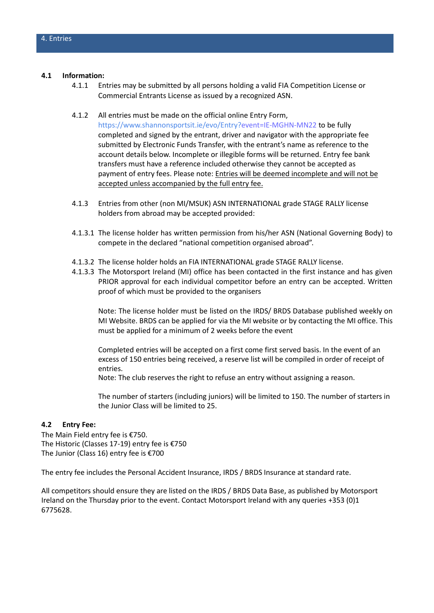#### **4.1 Information:**

- 4.1.1 Entries may be submitted by all persons holding a valid FIA Competition License or Commercial Entrants License as issued by a recognized ASN.
- 4.1.2 All entries must be made on the official online Entry Form,

https://www.shannonsportsit.ie/evo/Entry?event=IE-MGHN-MN22 to be fully completed and signed by the entrant, driver and navigator with the appropriate fee submitted by Electronic Funds Transfer, with the entrant's name as reference to the account details below. Incomplete or illegible forms will be returned. Entry fee bank transfers must have a reference included otherwise they cannot be accepted as payment of entry fees. Please note: Entries will be deemed incomplete and will not be accepted unless accompanied by the full entry fee.

- 4.1.3 Entries from other (non MI/MSUK) ASN INTERNATIONAL grade STAGE RALLY license holders from abroad may be accepted provided:
- 4.1.3.1 The license holder has written permission from his/her ASN (National Governing Body) to compete in the declared "national competition organised abroad".
- 4.1.3.2 The license holder holds an FIA INTERNATIONAL grade STAGE RALLY license.
- 4.1.3.3 The Motorsport Ireland (MI) office has been contacted in the first instance and has given PRIOR approval for each individual competitor before an entry can be accepted. Written proof of which must be provided to the organisers

Note: The license holder must be listed on the IRDS/ BRDS Database published weekly on MI Website. BRDS can be applied for via the MI website or by contacting the MI office. This must be applied for a minimum of 2 weeks before the event

Completed entries will be accepted on a first come first served basis. In the event of an excess of 150 entries being received, a reserve list will be compiled in order of receipt of entries.

Note: The club reserves the right to refuse an entry without assigning a reason.

The number of starters (including juniors) will be limited to 150. The number of starters in the Junior Class will be limited to 25.

#### **4.2 Entry Fee:**

The Main Field entry fee is €750. The Historic (Classes 17-19) entry fee is €750 The Junior (Class 16) entry fee is €700

The entry fee includes the Personal Accident Insurance, IRDS / BRDS Insurance at standard rate.

All competitors should ensure they are listed on the IRDS / BRDS Data Base, as published by Motorsport Ireland on the Thursday prior to the event. Contact Motorsport Ireland with any queries +353 (0)1 6775628.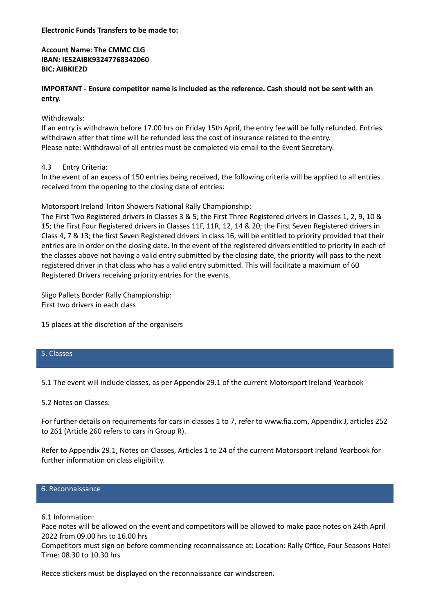**Electronic Funds Transfers to be made to:**

**Account Name: The CMMC CLG IBAN: IE52AIBK93247768342060 BIC: AIBKIE2D**

**IMPORTANT - Ensure competitor name is included as the reference. Cash should not be sent with an entry.**

## Withdrawals:

If an entry is withdrawn before 17.00 hrs on Friday 15th April, the entry fee will be fully refunded. Entries withdrawn after that time will be refunded less the cost of insurance related to the entry. Please note: Withdrawal of all entries must be completed via email to the Event Secretary.

## 4.3 Entry Criteria:

In the event of an excess of 150 entries being received, the following criteria will be applied to all entries received from the opening to the closing date of entries:

Motorsport Ireland Triton Showers National Rally Championship:

The First Two Registered drivers in Classes 3 & 5; the First Three Registered drivers in Classes 1, 2, 9, 10 & 15; the First Four Registered drivers in Classes 11F, 11R, 12, 14 & 20; the First Seven Registered drivers in Class 4, 7 & 13; the first Seven Registered drivers in class 16, will be entitled to priority provided that their entries are in order on the closing date. In the event of the registered drivers entitled to priority in each of the classes above not having a valid entry submitted by the closing date, the priority will pass to the next registered driver in that class who has a valid entry submitted. This will facilitate a maximum of 60 Registered Drivers receiving priority entries for the events.

Sligo Pallets Border Rally Championship: First two drivers in each class

15 places at the discretion of the organisers

### 5. Classes

5.1 The event will include classes, as per Appendix 29.1 of the current Motorsport Ireland Yearbook

5.2 Notes on Classes:

For further details on requirements for cars in classes 1 to 7, refer to [www.fia.com, A](http://www.fia.com/)ppendix J, articles 252 to 261 (Article 260 refers to cars in Group R).

Refer to Appendix 29.1, Notes on Classes, Articles 1 to 24 of the current Motorsport Ireland Yearbook for further information on class eligibility.

## 6. Reconnaissance

#### 6.1 Information:

Pace notes will be allowed on the event and competitors will be allowed to make pace notes on 24th April 2022 from 09.00 hrs to 16.00 hrs

Competitors must sign on before commencing reconnaissance at: Location: Rally Office, Four Seasons Hotel Time: 08.30 to 10.30 hrs

Recce stickers must be displayed on the reconnaissance car windscreen.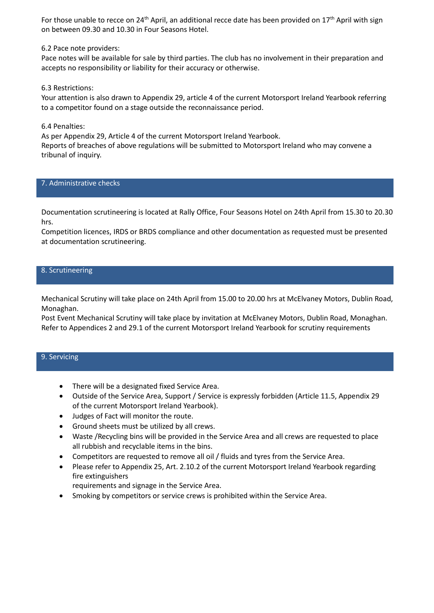For those unable to recce on 24<sup>th</sup> April, an additional recce date has been provided on 17<sup>th</sup> April with sign on between 09.30 and 10.30 in Four Seasons Hotel.

6.2 Pace note providers:

Pace notes will be available for sale by third parties. The club has no involvement in their preparation and accepts no responsibility or liability for their accuracy or otherwise.

6.3 Restrictions:

Your attention is also drawn to Appendix 29, article 4 of the current Motorsport Ireland Yearbook referring to a competitor found on a stage outside the reconnaissance period.

6.4 Penalties:

As per Appendix 29, Article 4 of the current Motorsport Ireland Yearbook. Reports of breaches of above regulations will be submitted to Motorsport Ireland who may convene a tribunal of inquiry.

7. Administrative checks

Documentation scrutineering is located at Rally Office, Four Seasons Hotel on 24th April from 15.30 to 20.30 hrs.

Competition licences, IRDS or BRDS compliance and other documentation as requested must be presented at documentation scrutineering.

## 8. Scrutineering

Mechanical Scrutiny will take place on 24th April from 15.00 to 20.00 hrs at McElvaney Motors, Dublin Road, Monaghan.

Post Event Mechanical Scrutiny will take place by invitation at McElvaney Motors, Dublin Road, Monaghan. Refer to Appendices 2 and 29.1 of the current Motorsport Ireland Yearbook for scrutiny requirements

## 9. Servicing

- There will be a designated fixed Service Area.
- Outside of the Service Area, Support / Service is expressly forbidden (Article 11.5, Appendix 29 of the current Motorsport Ireland Yearbook).
- Judges of Fact will monitor the route.
- Ground sheets must be utilized by all crews.
- Waste /Recycling bins will be provided in the Service Area and all crews are requested to place all rubbish and recyclable items in the bins.
- Competitors are requested to remove all oil / fluids and tyres from the Service Area.
- Please refer to Appendix 25, Art. 2.10.2 of the current Motorsport Ireland Yearbook regarding fire extinguishers

requirements and signage in the Service Area.

Smoking by competitors or service crews is prohibited within the Service Area.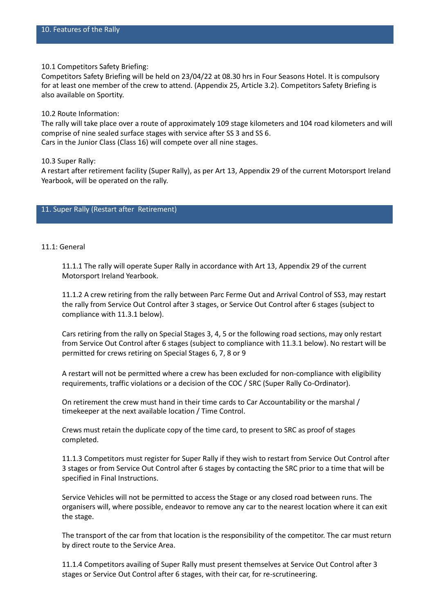10.1 Competitors Safety Briefing:

Competitors Safety Briefing will be held on 23/04/22 at 08.30 hrs in Four Seasons Hotel. It is compulsory for at least one member of the crew to attend. (Appendix 25, Article 3.2). Competitors Safety Briefing is also available on Sportity.

10.2 Route Information:

The rally will take place over a route of approximately 109 stage kilometers and 104 road kilometers and will comprise of nine sealed surface stages with service after SS 3 and SS 6. Cars in the Junior Class (Class 16) will compete over all nine stages.

10.3 Super Rally:

A restart after retirement facility (Super Rally), as per Art 13, Appendix 29 of the current Motorsport Ireland Yearbook, will be operated on the rally.

### 11. Super Rally (Restart after Retirement)

#### 11.1: General

11.1.1 The rally will operate Super Rally in accordance with Art 13, Appendix 29 of the current Motorsport Ireland Yearbook.

11.1.2 A crew retiring from the rally between Parc Ferme Out and Arrival Control of SS3, may restart the rally from Service Out Control after 3 stages, or Service Out Control after 6 stages (subject to compliance with 11.3.1 below).

Cars retiring from the rally on Special Stages 3, 4, 5 or the following road sections, may only restart from Service Out Control after 6 stages (subject to compliance with 11.3.1 below). No restart will be permitted for crews retiring on Special Stages 6, 7, 8 or 9

A restart will not be permitted where a crew has been excluded for non-compliance with eligibility requirements, traffic violations or a decision of the COC / SRC (Super Rally Co-Ordinator).

On retirement the crew must hand in their time cards to Car Accountability or the marshal / timekeeper at the next available location / Time Control.

Crews must retain the duplicate copy of the time card, to present to SRC as proof of stages completed.

11.1.3 Competitors must register for Super Rally if they wish to restart from Service Out Control after 3 stages or from Service Out Control after 6 stages by contacting the SRC prior to a time that will be specified in Final Instructions.

Service Vehicles will not be permitted to access the Stage or any closed road between runs. The organisers will, where possible, endeavor to remove any car to the nearest location where it can exit the stage.

The transport of the car from that location is the responsibility of the competitor. The car must return by direct route to the Service Area.

11.1.4 Competitors availing of Super Rally must present themselves at Service Out Control after 3 stages or Service Out Control after 6 stages, with their car, for re-scrutineering.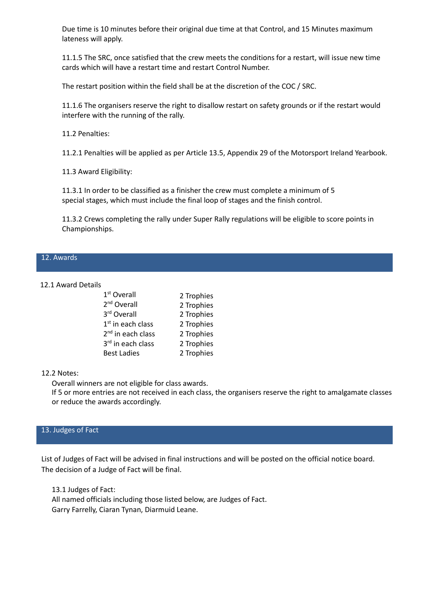Due time is 10 minutes before their original due time at that Control, and 15 Minutes maximum lateness will apply.

11.1.5 The SRC, once satisfied that the crew meets the conditions for a restart, will issue new time cards which will have a restart time and restart Control Number.

The restart position within the field shall be at the discretion of the COC / SRC.

11.1.6 The organisers reserve the right to disallow restart on safety grounds or if the restart would interfere with the running of the rally.

11.2 Penalties:

11.2.1 Penalties will be applied as per Article 13.5, Appendix 29 of the Motorsport Ireland Yearbook.

11.3 Award Eligibility:

11.3.1 In order to be classified as a finisher the crew must complete a minimum of 5 special stages, which must include the final loop of stages and the finish control.

11.3.2 Crews completing the rally under Super Rally regulations will be eligible to score points in Championships.

#### 12. Awards

### 12.1 Award Details

| 1 <sup>st</sup> Overall       | 2 Trophies |
|-------------------------------|------------|
| 2 <sup>nd</sup> Overall       | 2 Trophies |
| 3rd Overall                   | 2 Trophies |
| 1 <sup>st</sup> in each class | 2 Trophies |
| 2 <sup>nd</sup> in each class | 2 Trophies |
| 3rd in each class             | 2 Trophies |
| <b>Best Ladies</b>            | 2 Trophies |
|                               |            |

#### 12.2 Notes:

Overall winners are not eligible for class awards.

If 5 or more entries are not received in each class, the organisers reserve the right to amalgamate classes or reduce the awards accordingly.

## 13. Judges of Fact

List of Judges of Fact will be advised in final instructions and will be posted on the official notice board. The decision of a Judge of Fact will be final.

13.1 Judges of Fact: All named officials including those listed below, are Judges of Fact. Garry Farrelly, Ciaran Tynan, Diarmuid Leane.